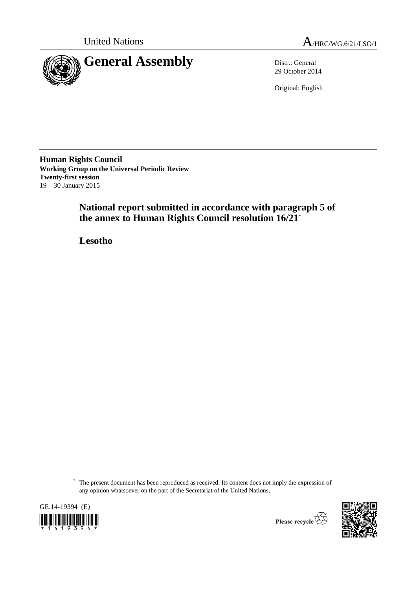



29 October 2014

Original: English

**Human Rights Council Working Group on the Universal Periodic Review Twenty-first session** 19 – 30 January 2015

> **National report submitted in accordance with paragraph 5 of the annex to Human Rights Council resolution 16/21**\*

**Lesotho**

<sup>\*</sup> The present document has been reproduced as received. Its content does not imply the expression of any opinion whatsoever on the part of the Secretariat of the United Nations.





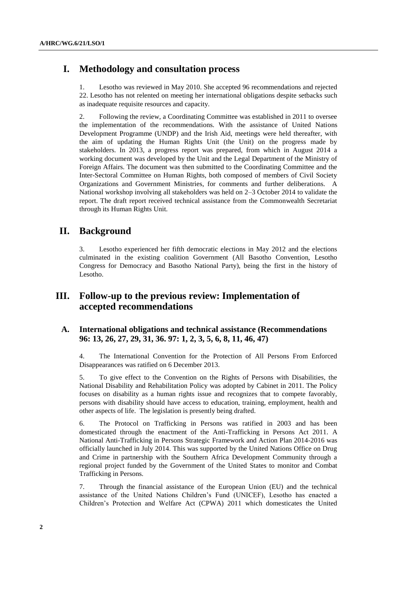# **I. Methodology and consultation process**

1. Lesotho was reviewed in May 2010. She accepted 96 recommendations and rejected 22. Lesotho has not relented on meeting her international obligations despite setbacks such as inadequate requisite resources and capacity.

2. Following the review, a Coordinating Committee was established in 2011 to oversee the implementation of the recommendations. With the assistance of United Nations Development Programme (UNDP) and the Irish Aid, meetings were held thereafter, with the aim of updating the Human Rights Unit (the Unit) on the progress made by stakeholders. In 2013, a progress report was prepared, from which in August 2014 a working document was developed by the Unit and the Legal Department of the Ministry of Foreign Affairs. The document was then submitted to the Coordinating Committee and the Inter-Sectoral Committee on Human Rights, both composed of members of Civil Society Organizations and Government Ministries, for comments and further deliberations. A National workshop involving all stakeholders was held on 2–3 October 2014 to validate the report. The draft report received technical assistance from the Commonwealth Secretariat through its Human Rights Unit.

## **II. Background**

3. Lesotho experienced her fifth democratic elections in May 2012 and the elections culminated in the existing coalition Government (All Basotho Convention, Lesotho Congress for Democracy and Basotho National Party), being the first in the history of Lesotho.

# **III. Follow-up to the previous review: Implementation of accepted recommendations**

### **A. International obligations and technical assistance (Recommendations 96: 13, 26, 27, 29, 31, 36. 97: 1, 2, 3, 5, 6, 8, 11, 46, 47)**

4. The International Convention for the Protection of All Persons From Enforced Disappearances was ratified on 6 December 2013.

5. To give effect to the Convention on the Rights of Persons with Disabilities, the National Disability and Rehabilitation Policy was adopted by Cabinet in 2011. The Policy focuses on disability as a human rights issue and recognizes that to compete favorably, persons with disability should have access to education, training, employment, health and other aspects of life. The legislation is presently being drafted.

6. The Protocol on Trafficking in Persons was ratified in 2003 and has been domesticated through the enactment of the Anti-Trafficking in Persons Act 2011. A National Anti-Trafficking in Persons Strategic Framework and Action Plan 2014-2016 was officially launched in July 2014. This was supported by the United Nations Office on Drug and Crime in partnership with the Southern Africa Development Community through a regional project funded by the Government of the United States to monitor and Combat Trafficking in Persons.

7. Through the financial assistance of the European Union (EU) and the technical assistance of the United Nations Children's Fund (UNICEF), Lesotho has enacted a Children's Protection and Welfare Act (CPWA) 2011 which domesticates the United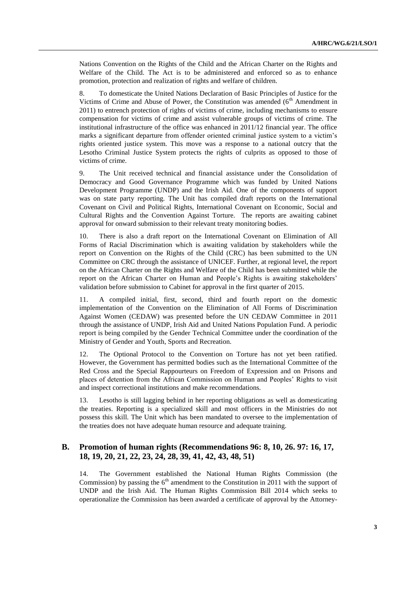Nations Convention on the Rights of the Child and the African Charter on the Rights and Welfare of the Child. The Act is to be administered and enforced so as to enhance promotion, protection and realization of rights and welfare of children.

8. To domesticate the United Nations Declaration of Basic Principles of Justice for the Victims of Crime and Abuse of Power, the Constitution was amended (6<sup>th</sup> Amendment in 2011) to entrench protection of rights of victims of crime, including mechanisms to ensure compensation for victims of crime and assist vulnerable groups of victims of crime. The institutional infrastructure of the office was enhanced in 2011/12 financial year. The office marks a significant departure from offender oriented criminal justice system to a victim's rights oriented justice system. This move was a response to a national outcry that the Lesotho Criminal Justice System protects the rights of culprits as opposed to those of victims of crime.

9. The Unit received technical and financial assistance under the Consolidation of Democracy and Good Governance Programme which was funded by United Nations Development Programme (UNDP) and the Irish Aid. One of the components of support was on state party reporting. The Unit has compiled draft reports on the International Covenant on Civil and Political Rights, International Covenant on Economic, Social and Cultural Rights and the Convention Against Torture. The reports are awaiting cabinet approval for onward submission to their relevant treaty monitoring bodies.

10. There is also a draft report on the International Covenant on Elimination of All Forms of Racial Discrimination which is awaiting validation by stakeholders while the report on Convention on the Rights of the Child (CRC) has been submitted to the UN Committee on CRC through the assistance of UNICEF. Further, at regional level, the report on the African Charter on the Rights and Welfare of the Child has been submitted while the report on the African Charter on Human and People's Rights is awaiting stakeholders' validation before submission to Cabinet for approval in the first quarter of 2015.

11. A compiled initial, first, second, third and fourth report on the domestic implementation of the Convention on the Elimination of All Forms of Discrimination Against Women (CEDAW) was presented before the UN CEDAW Committee in 2011 through the assistance of UNDP, Irish Aid and United Nations Population Fund. A periodic report is being compiled by the Gender Technical Committee under the coordination of the Ministry of Gender and Youth, Sports and Recreation.

12. The Optional Protocol to the Convention on Torture has not yet been ratified. However, the Government has permitted bodies such as the International Committee of the Red Cross and the Special Rappourteurs on Freedom of Expression and on Prisons and places of detention from the African Commission on Human and Peoples' Rights to visit and inspect correctional institutions and make recommendations.

13. Lesotho is still lagging behind in her reporting obligations as well as domesticating the treaties. Reporting is a specialized skill and most officers in the Ministries do not possess this skill. The Unit which has been mandated to oversee to the implementation of the treaties does not have adequate human resource and adequate training.

#### **B. Promotion of human rights (Recommendations 96: 8, 10, 26. 97: 16, 17, 18, 19, 20, 21, 22, 23, 24, 28, 39, 41, 42, 43, 48, 51)**

14. The Government established the National Human Rights Commission (the Commission) by passing the  $6<sup>th</sup>$  amendment to the Constitution in 2011 with the support of UNDP and the Irish Aid. The Human Rights Commission Bill 2014 which seeks to operationalize the Commission has been awarded a certificate of approval by the Attorney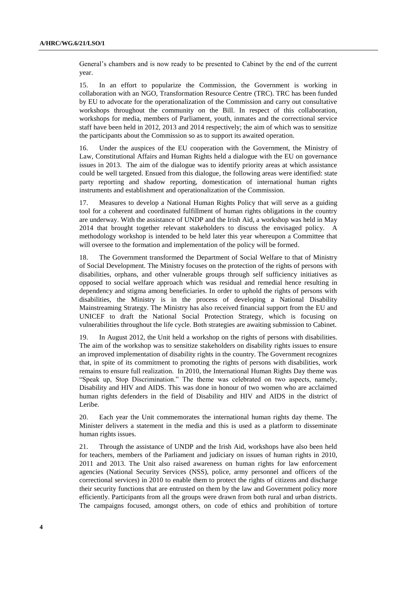General's chambers and is now ready to be presented to Cabinet by the end of the current year.

15. In an effort to popularize the Commission, the Government is working in collaboration with an NGO, Transformation Resource Centre (TRC). TRC has been funded by EU to advocate for the operationalization of the Commission and carry out consultative workshops throughout the community on the Bill. In respect of this collaboration, workshops for media, members of Parliament, youth, inmates and the correctional service staff have been held in 2012, 2013 and 2014 respectively; the aim of which was to sensitize the participants about the Commission so as to support its awaited operation.

16. Under the auspices of the EU cooperation with the Government, the Ministry of Law, Constitutional Affairs and Human Rights held a dialogue with the EU on governance issues in 2013. The aim of the dialogue was to identify priority areas at which assistance could be well targeted. Ensued from this dialogue, the following areas were identified: state party reporting and shadow reporting, domestication of international human rights instruments and establishment and operationalization of the Commission.

17. Measures to develop a National Human Rights Policy that will serve as a guiding tool for a coherent and coordinated fulfillment of human rights obligations in the country are underway. With the assistance of UNDP and the Irish Aid, a workshop was held in May 2014 that brought together relevant stakeholders to discuss the envisaged policy. A methodology workshop is intended to be held later this year whereupon a Committee that will oversee to the formation and implementation of the policy will be formed.

18. The Government transformed the Department of Social Welfare to that of Ministry of Social Development. The Ministry focuses on the protection of the rights of persons with disabilities, orphans, and other vulnerable groups through self sufficiency initiatives as opposed to social welfare approach which was residual and remedial hence resulting in dependency and stigma among beneficiaries. In order to uphold the rights of persons with disabilities, the Ministry is in the process of developing a National Disability Mainstreaming Strategy. The Ministry has also received financial support from the EU and UNICEF to draft the National Social Protection Strategy, which is focusing on vulnerabilities throughout the life cycle. Both strategies are awaiting submission to Cabinet.

19. In August 2012, the Unit held a workshop on the rights of persons with disabilities. The aim of the workshop was to sensitize stakeholders on disability rights issues to ensure an improved implementation of disability rights in the country. The Government recognizes that, in spite of its commitment to promoting the rights of persons with disabilities, work remains to ensure full realization. In 2010, the International Human Rights Day theme was "Speak up, Stop Discrimination." The theme was celebrated on two aspects, namely, Disability and HIV and AIDS. This was done in honour of two women who are acclaimed human rights defenders in the field of Disability and HIV and AIDS in the district of Leribe.

20. Each year the Unit commemorates the international human rights day theme. The Minister delivers a statement in the media and this is used as a platform to disseminate human rights issues.

21. Through the assistance of UNDP and the Irish Aid, workshops have also been held for teachers, members of the Parliament and judiciary on issues of human rights in 2010, 2011 and 2013. The Unit also raised awareness on human rights for law enforcement agencies (National Security Services (NSS), police, army personnel and officers of the correctional services) in 2010 to enable them to protect the rights of citizens and discharge their security functions that are entrusted on them by the law and Government policy more efficiently. Participants from all the groups were drawn from both rural and urban districts. The campaigns focused, amongst others, on code of ethics and prohibition of torture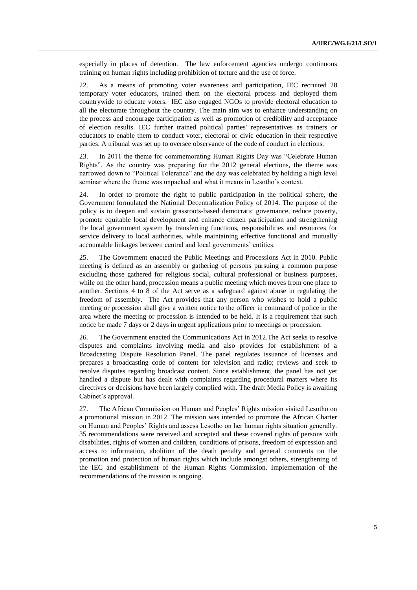especially in places of detention. The law enforcement agencies undergo continuous training on human rights including prohibition of torture and the use of force.

22. As a means of promoting voter awareness and participation, IEC recruited 28 temporary voter educators, trained them on the electoral process and deployed them countrywide to educate voters. IEC also engaged NGOs to provide electoral education to all the electorate throughout the country. The main aim was to enhance understanding on the process and encourage participation as well as promotion of credibility and acceptance of election results. IEC further trained political parties' representatives as trainers or educators to enable them to conduct voter, electoral or civic education in their respective parties. A tribunal was set up to oversee observance of the code of conduct in elections.

23. In 2011 the theme for commemorating Human Rights Day was "Celebrate Human Rights". As the country was preparing for the 2012 general elections, the theme was narrowed down to "Political Tolerance" and the day was celebrated by holding a high level seminar where the theme was unpacked and what it means in Lesotho's context.

24. In order to promote the right to public participation in the political sphere, the Government formulated the National Decentralization Policy of 2014. The purpose of the policy is to deepen and sustain grassroots-based democratic governance, reduce poverty, promote equitable local development and enhance citizen participation and strengthening the local government system by transferring functions, responsibilities and resources for service delivery to local authorities, while maintaining effective functional and mutually accountable linkages between central and local governments' entities.

25. The Government enacted the Public Meetings and Processions Act in 2010. Public meeting is defined as an assembly or gathering of persons pursuing a common purpose excluding those gathered for religious social, cultural professional or business purposes, while on the other hand, procession means a public meeting which moves from one place to another. Sections 4 to 8 of the Act serve as a safeguard against abuse in regulating the freedom of assembly. The Act provides that any person who wishes to hold a public meeting or procession shall give a written notice to the officer in command of police in the area where the meeting or procession is intended to be held. It is a requirement that such notice be made 7 days or 2 days in urgent applications prior to meetings or procession.

26. The Government enacted the Communications Act in 2012.The Act seeks to resolve disputes and complaints involving media and also provides for establishment of a Broadcasting Dispute Resolution Panel. The panel regulates issuance of licenses and prepares a broadcasting code of content for television and radio; reviews and seek to resolve disputes regarding broadcast content. Since establishment, the panel has not yet handled a dispute but has dealt with complaints regarding procedural matters where its directives or decisions have been largely complied with. The draft Media Policy is awaiting Cabinet's approval.

27. The African Commission on Human and Peoples' Rights mission visited Lesotho on a promotional mission in 2012. The mission was intended to promote the African Charter on Human and Peoples' Rights and assess Lesotho on her human rights situation generally. 35 recommendations were received and accepted and these covered rights of persons with disabilities, rights of women and children, conditions of prisons, freedom of expression and access to information, abolition of the death penalty and general comments on the promotion and protection of human rights which include amongst others, strengthening of the IEC and establishment of the Human Rights Commission. Implementation of the recommendations of the mission is ongoing.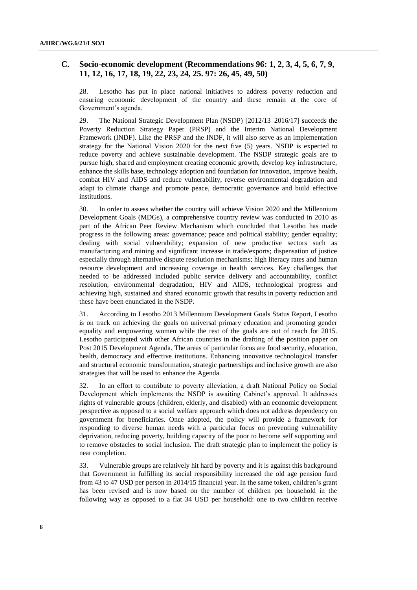#### **C. Socio-economic development (Recommendations 96: 1, 2, 3, 4, 5, 6, 7, 9, 11, 12, 16, 17, 18, 19, 22, 23, 24, 25. 97: 26, 45, 49, 50)**

28. Lesotho has put in place national initiatives to address poverty reduction and ensuring economic development of the country and these remain at the core of Government's agenda.

29. The National Strategic Development Plan (NSDP) [2012/13–2016/17] **s**ucceeds the Poverty Reduction Strategy Paper (PRSP) and the Interim National Development Framework (INDF). Like the PRSP and the INDF, it will also serve as an implementation strategy for the National Vision 2020 for the next five (5) years. NSDP is expected to reduce poverty and achieve sustainable development. The NSDP strategic goals are to pursue high, shared and employment creating economic growth, develop key infrastructure, enhance the skills base, technology adoption and foundation for innovation, improve health, combat HIV and AIDS and reduce vulnerability, reverse environmental degradation and adapt to climate change and promote peace, democratic governance and build effective institutions.

30. In order to assess whether the country will achieve Vision 2020 and the Millennium Development Goals (MDGs), a comprehensive country review was conducted in 2010 as part of the African Peer Review Mechanism which concluded that Lesotho has made progress in the following areas: governance; peace and political stability; gender equality; dealing with social vulnerability; expansion of new productive sectors such as manufacturing and mining and significant increase in trade/exports; dispensation of justice especially through alternative dispute resolution mechanisms; high literacy rates and human resource development and increasing coverage in health services. Key challenges that needed to be addressed included public service delivery and accountability, conflict resolution, environmental degradation, HIV and AIDS, technological progress and achieving high, sustained and shared economic growth that results in poverty reduction and these have been enunciated in the NSDP.

31. According to Lesotho 2013 Millennium Development Goals Status Report, Lesotho is on track on achieving the goals on universal primary education and promoting gender equality and empowering women while the rest of the goals are out of reach for 2015. Lesotho participated with other African countries in the drafting of the position paper on Post 2015 Development Agenda. The areas of particular focus are food security, education, health, democracy and effective institutions. Enhancing innovative technological transfer and structural economic transformation, strategic partnerships and inclusive growth are also strategies that will be used to enhance the Agenda.

32. In an effort to contribute to poverty alleviation, a draft National Policy on Social Development which implements the NSDP is awaiting Cabinet's approval. It addresses rights of vulnerable groups (children, elderly, and disabled) with an economic development perspective as opposed to a social welfare approach which does not address dependency on government for beneficiaries. Once adopted, the policy will provide a framework for responding to diverse human needs with a particular focus on preventing vulnerability deprivation, reducing poverty, building capacity of the poor to become self supporting and to remove obstacles to social inclusion. The draft strategic plan to implement the policy is near completion.

33. Vulnerable groups are relatively hit hard by poverty and it is against this background that Government in fulfilling its social responsibility increased the old age pension fund from 43 to 47 USD per person in 2014/15 financial year. In the same token, children's grant has been revised and is now based on the number of children per household in the following way as opposed to a flat 34 USD per household: one to two children receive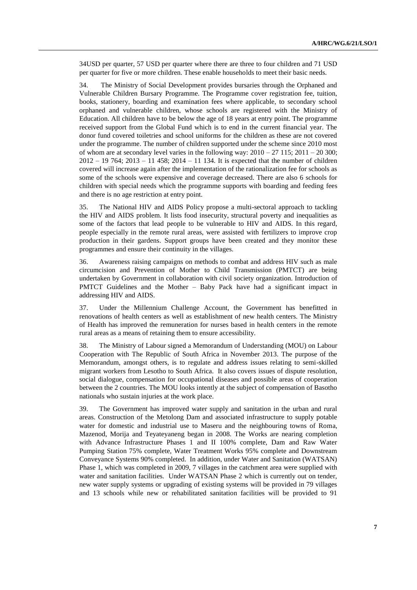34USD per quarter, 57 USD per quarter where there are three to four children and 71 USD per quarter for five or more children. These enable households to meet their basic needs.

34. The Ministry of Social Development provides bursaries through the Orphaned and Vulnerable Children Bursary Programme. The Programme cover registration fee, tuition, books, stationery, boarding and examination fees where applicable, to secondary school orphaned and vulnerable children, whose schools are registered with the Ministry of Education. All children have to be below the age of 18 years at entry point. The programme received support from the Global Fund which is to end in the current financial year. The donor fund covered toiletries and school uniforms for the children as these are not covered under the programme. The number of children supported under the scheme since 2010 most of whom are at secondary level varies in the following way:  $2010 - 27$  115;  $2011 - 20$  300;  $2012 - 19764$ ;  $2013 - 11458$ ;  $2014 - 11134$ . It is expected that the number of children covered will increase again after the implementation of the rationalization fee for schools as some of the schools were expensive and coverage decreased. There are also 6 schools for children with special needs which the programme supports with boarding and feeding fees and there is no age restriction at entry point.

35. The National HIV and AIDS Policy propose a multi-sectoral approach to tackling the HIV and AIDS problem. It lists food insecurity, structural poverty and inequalities as some of the factors that lead people to be vulnerable to HIV and AIDS. In this regard, people especially in the remote rural areas, were assisted with fertilizers to improve crop production in their gardens. Support groups have been created and they monitor these programmes and ensure their continuity in the villages.

36. Awareness raising campaigns on methods to combat and address HIV such as male circumcision and Prevention of Mother to Child Transmission (PMTCT) are being undertaken by Government in collaboration with civil society organization. Introduction of PMTCT Guidelines and the Mother – Baby Pack have had a significant impact in addressing HIV and AIDS.

37. Under the Millennium Challenge Account, the Government has benefitted in renovations of health centers as well as establishment of new health centers. The Ministry of Health has improved the remuneration for nurses based in health centers in the remote rural areas as a means of retaining them to ensure accessibility.

38. The Ministry of Labour signed a Memorandum of Understanding (MOU) on Labour Cooperation with The Republic of South Africa in November 2013. The purpose of the Memorandum, amongst others, is to regulate and address issues relating to semi-skilled migrant workers from Lesotho to South Africa. It also covers issues of dispute resolution, social dialogue, compensation for occupational diseases and possible areas of cooperation between the 2 countries. The MOU looks intently at the subject of compensation of Basotho nationals who sustain injuries at the work place.

39. The Government has improved water supply and sanitation in the urban and rural areas. Construction of the Metolong Dam and associated infrastructure to supply potable water for domestic and industrial use to Maseru and the neighbouring towns of Roma, Mazenod, Morija and Teyateyaneng began in 2008. The Works are nearing completion with Advance Infrastructure Phases 1 and II 100% complete, Dam and Raw Water Pumping Station 75% complete, Water Treatment Works 95% complete and Downstream Conveyance Systems 90% completed. In addition, under Water and Sanitation (WATSAN) Phase 1, which was completed in 2009, 7 villages in the catchment area were supplied with water and sanitation facilities. Under WATSAN Phase 2 which is currently out on tender, new water supply systems or upgrading of existing systems will be provided in 79 villages and 13 schools while new or rehabilitated sanitation facilities will be provided to 91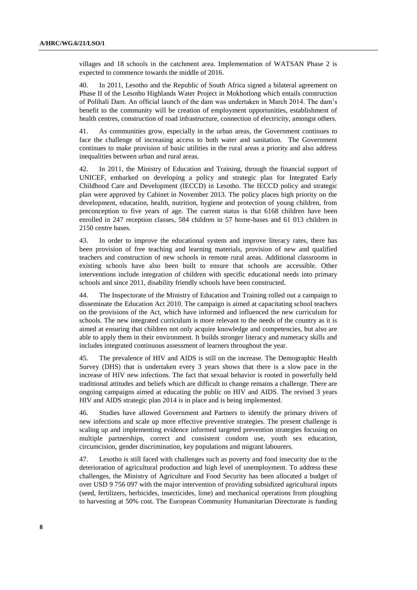villages and 18 schools in the catchment area. Implementation of WATSAN Phase 2 is expected to commence towards the middle of 2016.

40. In 2011, Lesotho and the Republic of South Africa signed a bilateral agreement on Phase II of the Lesotho Highlands Water Project in Mokhotlong which entails construction of Polihali Dam. An official launch of the dam was undertaken in March 2014. The dam's benefit to the community will be creation of employment opportunities, establishment of health centres, construction of road infrastructure, connection of electricity, amongst others.

41. As communities grow, especially in the urban areas, the Government continues to face the challenge of increasing access to both water and sanitation. The Government continues to make provision of basic utilities in the rural areas a priority and also address inequalities between urban and rural areas.

42. In 2011, the Ministry of Education and Training, through the financial support of UNICEF, embarked on developing a policy and strategic plan for Integrated Early Childhood Care and Development (IECCD) in Lesotho. The IECCD policy and strategic plan were approved by Cabinet in November 2013. The policy places high priority on the development, education, health, nutrition, hygiene and protection of young children, from preconception to five years of age. The current status is that 6168 children have been enrolled in 247 reception classes, 584 children in 57 home-bases and 61 013 children in 2150 centre bases.

43. In order to improve the educational system and improve literacy rates, there has been provision of free teaching and learning materials, provision of new and qualified teachers and construction of new schools in remote rural areas. Additional classrooms in existing schools have also been built to ensure that schools are accessible. Other interventions include integration of children with specific educational needs into primary schools and since 2011, disability friendly schools have been constructed.

44. The Inspectorate of the Ministry of Education and Training rolled out a campaign to disseminate the Education Act 2010. The campaign is aimed at capacitating school teachers on the provisions of the Act, which have informed and influenced the new curriculum for schools. The new integrated curriculum is more relevant to the needs of the country as it is aimed at ensuring that children not only acquire knowledge and competencies, but also are able to apply them in their environment. It builds stronger literacy and numeracy skills and includes integrated continuous assessment of learners throughout the year.

45. The prevalence of HIV and AIDS is still on the increase. The Demographic Health Survey (DHS) that is undertaken every 3 years shows that there is a slow pace in the increase of HIV new infections. The fact that sexual behavior is rooted in powerfully held traditional attitudes and beliefs which are difficult to change remains a challenge. There are ongoing campaigns aimed at educating the public on HIV and AIDS. The revised 3 years HIV and AIDS strategic plan 2014 is in place and is being implemented.

46. Studies have allowed Government and Partners to identify the primary drivers of new infections and scale up more effective preventive strategies. The present challenge is scaling up and implementing evidence informed targeted prevention strategies focusing on multiple partnerships, correct and consistent condom use, youth sex education, circumcision, gender discrimination, key populations and migrant labourers.

47. Lesotho is still faced with challenges such as poverty and food insecurity due to the deterioration of agricultural production and high level of unemployment. To address these challenges, the Ministry of Agriculture and Food Security has been allocated a budget of over USD 9 756 097 with the major intervention of providing subsidized agricultural inputs (seed, fertilizers, herbicides, insecticides, lime) and mechanical operations from ploughing to harvesting at 50% cost. The European Community Humanitarian Directorate is funding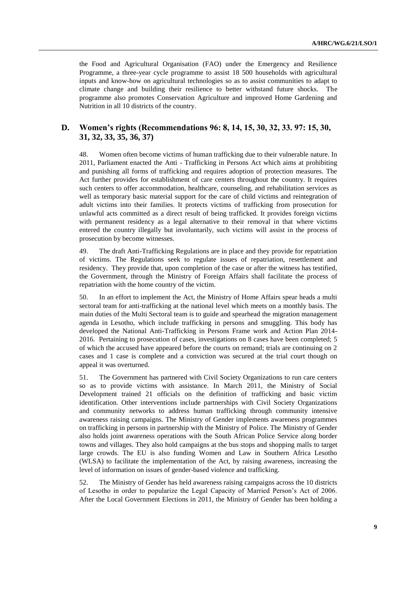the Food and Agricultural Organisation (FAO) under the Emergency and Resilience Programme, a three-year cycle programme to assist 18 500 households with agricultural inputs and know-how on agricultural technologies so as to assist communities to adapt to climate change and building their resilience to better withstand future shocks. The programme also promotes Conservation Agriculture and improved Home Gardening and Nutrition in all 10 districts of the country.

### **D. Women's rights (Recommendations 96: 8, 14, 15, 30, 32, 33. 97: 15, 30, 31, 32, 33, 35, 36, 37)**

48. Women often become victims of human trafficking due to their vulnerable nature. In 2011, Parliament enacted the Anti - Trafficking in Persons Act which aims at prohibiting and punishing all forms of trafficking and requires adoption of protection measures. The Act further provides for establishment of care centers throughout the country. It requires such centers to offer accommodation, healthcare, counseling, and rehabilitation services as well as temporary basic material support for the care of child victims and reintegration of adult victims into their families. It protects victims of trafficking from prosecution for unlawful acts committed as a direct result of being trafficked. It provides foreign victims with permanent residency as a legal alternative to their removal in that where victims entered the country illegally but involuntarily, such victims will assist in the process of prosecution by become witnesses.

49. The draft Anti-Trafficking Regulations are in place and they provide for repatriation of victims. The Regulations seek to regulate issues of repatriation, resettlement and residency. They provide that, upon completion of the case or after the witness has testified, the Government, through the Ministry of Foreign Affairs shall facilitate the process of repatriation with the home country of the victim.

50. In an effort to implement the Act, the Ministry of Home Affairs spear heads a multi sectoral team for anti-trafficking at the national level which meets on a monthly basis. The main duties of the Multi Sectoral team is to guide and spearhead the migration management agenda in Lesotho, which include trafficking in persons and smuggling. This body has developed the National Anti-Trafficking in Persons Frame work and Action Plan 2014- 2016. Pertaining to prosecution of cases, investigations on 8 cases have been completed; 5 of which the accused have appeared before the courts on remand; trials are continuing on 2 cases and 1 case is complete and a conviction was secured at the trial court though on appeal it was overturned.

51. The Government has partnered with Civil Society Organizations to run care centers so as to provide victims with assistance. In March 2011, the Ministry of Social Development trained 21 officials on the definition of trafficking and basic victim identification. Other interventions include partnerships with Civil Society Organizations and community networks to address human trafficking through community intensive awareness raising campaigns. The Ministry of Gender implements awareness programmes on trafficking in persons in partnership with the Ministry of Police. The Ministry of Gender also holds joint awareness operations with the South African Police Service along border towns and villages. They also hold campaigns at the bus stops and shopping malls to target large crowds. The EU is also funding Women and Law in Southern Africa Lesotho (WLSA) to facilitate the implementation of the Act, by raising awareness, increasing the level of information on issues of gender-based violence and trafficking.

52. The Ministry of Gender has held awareness raising campaigns across the 10 districts of Lesotho in order to popularize the Legal Capacity of Married Person's Act of 2006. After the Local Government Elections in 2011, the Ministry of Gender has been holding a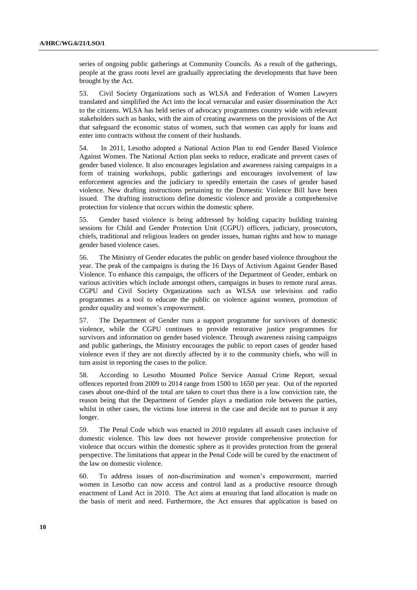series of ongoing public gatherings at Community Councils. As a result of the gatherings, people at the grass roots level are gradually appreciating the developments that have been brought by the Act.

53. Civil Society Organizations such as WLSA and Federation of Women Lawyers translated and simplified the Act into the local vernacular and easier dissemination the Act to the citizens. WLSA has held series of advocacy programmes country wide with relevant stakeholders such as banks, with the aim of creating awareness on the provisions of the Act that safeguard the economic status of women, such that women can apply for loans and enter into contracts without the consent of their husbands.

54. In 2011, Lesotho adopted a National Action Plan to end Gender Based Violence Against Women. The National Action plan seeks to reduce, eradicate and prevent cases of gender based violence. It also encourages legislation and awareness raising campaigns in a form of training workshops, public gatherings and encourages involvement of law enforcement agencies and the judiciary to speedily entertain the cases of gender based violence. New drafting instructions pertaining to the Domestic Violence Bill have been issued. The drafting instructions define domestic violence and provide a comprehensive protection for violence that occurs within the domestic sphere.

55. Gender based violence is being addressed by holding capacity building training sessions for Child and Gender Protection Unit (CGPU) officers, judiciary, prosecutors, chiefs, traditional and religious leaders on gender issues, human rights and how to manage gender based violence cases.

56. The Ministry of Gender educates the public on gender based violence throughout the year. The peak of the campaigns is during the 16 Days of Activism Against Gender Based Violence. To enhance this campaign, the officers of the Department of Gender, embark on various activities which include amongst others, campaigns in buses to remote rural areas. CGPU and Civil Society Organizations such as WLSA use television and radio programmes as a tool to educate the public on violence against women, promotion of gender equality and women's empowerment.

57. The Department of Gender runs a support programme for survivors of domestic violence, while the CGPU continues to provide restorative justice programmes for survivors and information on gender based violence. Through awareness raising campaigns and public gatherings, the Ministry encourages the public to report cases of gender based violence even if they are not directly affected by it to the community chiefs, who will in turn assist in reporting the cases to the police.

58. According to Lesotho Mounted Police Service Annual Crime Report, sexual offences reported from 2009 to 2014 range from 1500 to 1650 per year. Out of the reported cases about one-third of the total are taken to court thus there is a low conviction rate, the reason being that the Department of Gender plays a mediation role between the parties, whilst in other cases, the victims lose interest in the case and decide not to pursue it any longer.

59. The Penal Code which was enacted in 2010 regulates all assault cases inclusive of domestic violence. This law does not however provide comprehensive protection for violence that occurs within the domestic sphere as it provides protection from the general perspective. The limitations that appear in the Penal Code will be cured by the enactment of the law on domestic violence.

60. To address issues of non-discrimination and women's empowerment, married women in Lesotho can now access and control land as a productive resource through enactment of Land Act in 2010. The Act aims at ensuring that land allocation is made on the basis of merit and need. Furthermore, the Act ensures that application is based on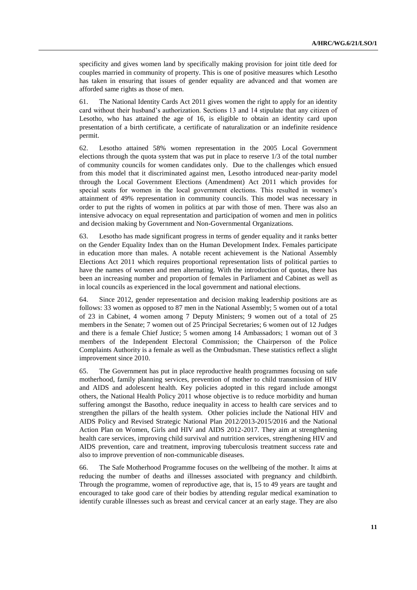specificity and gives women land by specifically making provision for joint title deed for couples married in community of property. This is one of positive measures which Lesotho has taken in ensuring that issues of gender equality are advanced and that women are afforded same rights as those of men.

61. The National Identity Cards Act 2011 gives women the right to apply for an identity card without their husband's authorization. Sections 13 and 14 stipulate that any citizen of Lesotho, who has attained the age of 16, is eligible to obtain an identity card upon presentation of a birth certificate, a certificate of naturalization or an indefinite residence permit.

62. Lesotho attained 58% women representation in the 2005 Local Government elections through the quota system that was put in place to reserve 1/3 of the total number of community councils for women candidates only. Due to the challenges which ensued from this model that it discriminated against men, Lesotho introduced near-parity model through the Local Government Elections (Amendment) Act 2011 which provides for special seats for women in the local government elections. This resulted in women's attainment of 49% representation in community councils. This model was necessary in order to put the rights of women in politics at par with those of men. There was also an intensive advocacy on equal representation and participation of women and men in politics and decision making by Government and Non-Governmental Organizations.

63. Lesotho has made significant progress in terms of gender equality and it ranks better on the Gender Equality Index than on the Human Development Index. Females participate in education more than males. A notable recent achievement is the National Assembly Elections Act 2011 which requires proportional representation lists of political parties to have the names of women and men alternating. With the introduction of quotas, there has been an increasing number and proportion of females in Parliament and Cabinet as well as in local councils as experienced in the local government and national elections.

64. Since 2012, gender representation and decision making leadership positions are as follows: 33 women as opposed to 87 men in the National Assembly; 5 women out of a total of 23 in Cabinet, 4 women among 7 Deputy Ministers; 9 women out of a total of 25 members in the Senate; 7 women out of 25 Principal Secretaries; 6 women out of 12 Judges and there is a female Chief Justice; 5 women among 14 Ambassadors; 1 woman out of 3 members of the Independent Electoral Commission; the Chairperson of the Police Complaints Authority is a female as well as the Ombudsman. These statistics reflect a slight improvement since 2010.

65. The Government has put in place reproductive health programmes focusing on safe motherhood, family planning services, prevention of mother to child transmission of HIV and AIDS and adolescent health. Key policies adopted in this regard include amongst others, the National Health Policy 2011 whose objective is to reduce morbidity and human suffering amongst the Basotho, reduce inequality in access to health care services and to strengthen the pillars of the health system. Other policies include the National HIV and AIDS Policy and Revised Strategic National Plan 2012/2013-2015/2016 and the National Action Plan on Women, Girls and HIV and AIDS 2012-2017. They aim at strengthening health care services, improving child survival and nutrition services, strengthening HIV and AIDS prevention, care and treatment, improving tuberculosis treatment success rate and also to improve prevention of non-communicable diseases.

66. The Safe Motherhood Programme focuses on the wellbeing of the mother. It aims at reducing the number of deaths and illnesses associated with pregnancy and childbirth. Through the programme, women of reproductive age, that is, 15 to 49 years are taught and encouraged to take good care of their bodies by attending regular medical examination to identify curable illnesses such as breast and cervical cancer at an early stage. They are also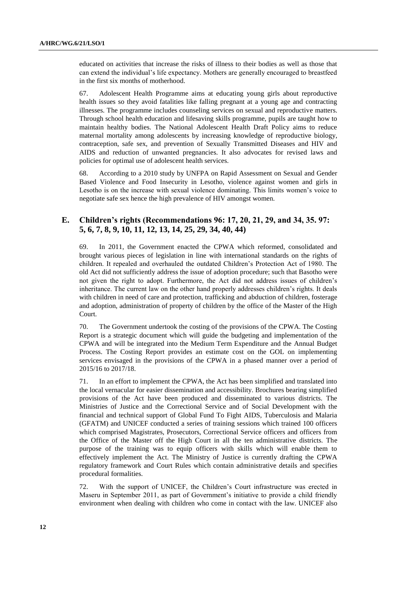educated on activities that increase the risks of illness to their bodies as well as those that can extend the individual's life expectancy. Mothers are generally encouraged to breastfeed in the first six months of motherhood.

67. Adolescent Health Programme aims at educating young girls about reproductive health issues so they avoid fatalities like falling pregnant at a young age and contracting illnesses. The programme includes counseling services on sexual and reproductive matters. Through school health education and lifesaving skills programme, pupils are taught how to maintain healthy bodies. The National Adolescent Health Draft Policy aims to reduce maternal mortality among adolescents by increasing knowledge of reproductive biology, contraception, safe sex, and prevention of Sexually Transmitted Diseases and HIV and AIDS and reduction of unwanted pregnancies. It also advocates for revised laws and policies for optimal use of adolescent health services.

68. According to a 2010 study by UNFPA on Rapid Assessment on Sexual and Gender Based Violence and Food Insecurity in Lesotho, violence against women and girls in Lesotho is on the increase with sexual violence dominating. This limits women's voice to negotiate safe sex hence the high prevalence of HIV amongst women.

### **E. Children's rights (Recommendations 96: 17, 20, 21, 29, and 34, 35. 97: 5, 6, 7, 8, 9, 10, 11, 12, 13, 14, 25, 29, 34, 40, 44)**

69. In 2011, the Government enacted the CPWA which reformed, consolidated and brought various pieces of legislation in line with international standards on the rights of children. It repealed and overhauled the outdated Children's Protection Act of 1980. The old Act did not sufficiently address the issue of adoption procedure; such that Basotho were not given the right to adopt. Furthermore, the Act did not address issues of children's inheritance. The current law on the other hand properly addresses children's rights. It deals with children in need of care and protection, trafficking and abduction of children, fosterage and adoption, administration of property of children by the office of the Master of the High Court.

70. The Government undertook the costing of the provisions of the CPWA. The Costing Report is a strategic document which will guide the budgeting and implementation of the CPWA and will be integrated into the Medium Term Expenditure and the Annual Budget Process. The Costing Report provides an estimate cost on the GOL on implementing services envisaged in the provisions of the CPWA in a phased manner over a period of 2015/16 to 2017/18.

71. In an effort to implement the CPWA, the Act has been simplified and translated into the local vernacular for easier dissemination and accessibility. Brochures bearing simplified provisions of the Act have been produced and disseminated to various districts. The Ministries of Justice and the Correctional Service and of Social Development with the financial and technical support of Global Fund To Fight AIDS, Tuberculosis and Malaria (GFATM) and UNICEF conducted a series of training sessions which trained 100 officers which comprised Magistrates, Prosecutors, Correctional Service officers and officers from the Office of the Master off the High Court in all the ten administrative districts. The purpose of the training was to equip officers with skills which will enable them to effectively implement the Act. The Ministry of Justice is currently drafting the CPWA regulatory framework and Court Rules which contain administrative details and specifies procedural formalities.

72. With the support of UNICEF, the Children's Court infrastructure was erected in Maseru in September 2011, as part of Government's initiative to provide a child friendly environment when dealing with children who come in contact with the law. UNICEF also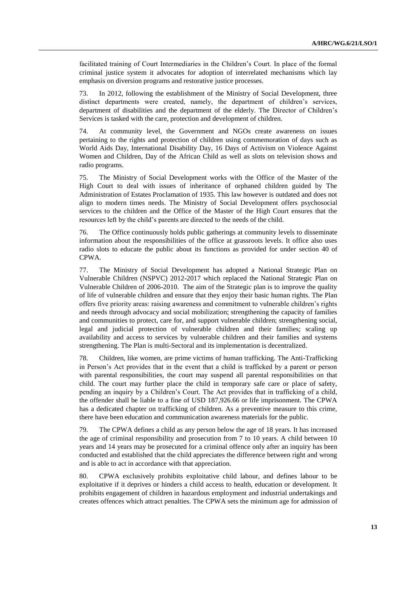facilitated training of Court Intermediaries in the Children's Court. In place of the formal criminal justice system it advocates for adoption of interrelated mechanisms which lay emphasis on diversion programs and restorative justice processes.

73. In 2012, following the establishment of the Ministry of Social Development, three distinct departments were created, namely, the department of children's services, department of disabilities and the department of the elderly. The Director of Children's Services is tasked with the care, protection and development of children.

74. At community level, the Government and NGOs create awareness on issues pertaining to the rights and protection of children using commemoration of days such as World Aids Day, International Disability Day, 16 Days of Activism on Violence Against Women and Children, Day of the African Child as well as slots on television shows and radio programs.

75. The Ministry of Social Development works with the Office of the Master of the High Court to deal with issues of inheritance of orphaned children guided by The Administration of Estates Proclamation of 1935. This law however is outdated and does not align to modern times needs. The Ministry of Social Development offers psychosocial services to the children and the Office of the Master of the High Court ensures that the resources left by the child's parents are directed to the needs of the child.

76. The Office continuously holds public gatherings at community levels to disseminate information about the responsibilities of the office at grassroots levels. It office also uses radio slots to educate the public about its functions as provided for under section 40 of CPWA.

77. The Ministry of Social Development has adopted a National Strategic Plan on Vulnerable Children (NSPVC) 2012-2017 which replaced the National Strategic Plan on Vulnerable Children of 2006-2010. The aim of the Strategic plan is to improve the quality of life of vulnerable children and ensure that they enjoy their basic human rights. The Plan offers five priority areas: raising awareness and commitment to vulnerable children's rights and needs through advocacy and social mobilization; strengthening the capacity of families and communities to protect, care for, and support vulnerable children; strengthening social, legal and judicial protection of vulnerable children and their families; scaling up availability and access to services by vulnerable children and their families and systems strengthening. The Plan is multi-Sectoral and its implementation is decentralized.

78. Children, like women, are prime victims of human trafficking. The Anti-Trafficking in Person's Act provides that in the event that a child is trafficked by a parent or person with parental responsibilities, the court may suspend all parental responsibilities on that child. The court may further place the child in temporary safe care or place of safety, pending an inquiry by a Children's Court. The Act provides that in trafficking of a child, the offender shall be liable to a fine of USD 187,926.66 or life imprisonment. The CPWA has a dedicated chapter on trafficking of children. As a preventive measure to this crime, there have been education and communication awareness materials for the public.

79. The CPWA defines a child as any person below the age of 18 years. It has increased the age of criminal responsibility and prosecution from 7 to 10 years. A child between 10 years and 14 years may be prosecuted for a criminal offence only after an inquiry has been conducted and established that the child appreciates the difference between right and wrong and is able to act in accordance with that appreciation.

80. CPWA exclusively prohibits exploitative child labour, and defines labour to be exploitative if it deprives or hinders a child access to health, education or development. It prohibits engagement of children in hazardous employment and industrial undertakings and creates offences which attract penalties. The CPWA sets the minimum age for admission of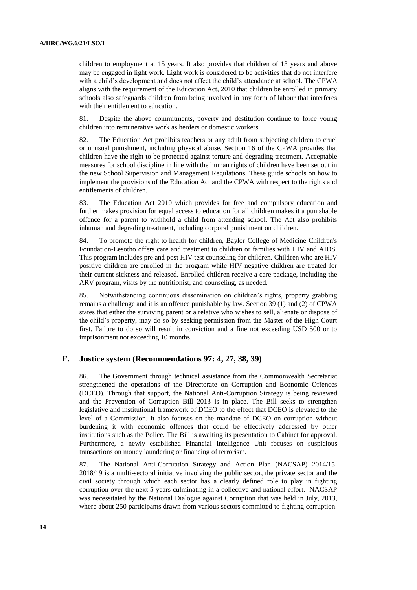children to employment at 15 years. It also provides that children of 13 years and above may be engaged in light work. Light work is considered to be activities that do not interfere with a child's development and does not affect the child's attendance at school. The CPWA aligns with the requirement of the Education Act, 2010 that children be enrolled in primary schools also safeguards children from being involved in any form of labour that interferes with their entitlement to education.

81. Despite the above commitments, poverty and destitution continue to force young children into remunerative work as herders or domestic workers.

82. The Education Act prohibits teachers or any adult from subjecting children to cruel or unusual punishment, including physical abuse. Section 16 of the CPWA provides that children have the right to be protected against torture and degrading treatment. Acceptable measures for school discipline in line with the human rights of children have been set out in the new School Supervision and Management Regulations. These guide schools on how to implement the provisions of the Education Act and the CPWA with respect to the rights and entitlements of children.

83. The Education Act 2010 which provides for free and compulsory education and further makes provision for equal access to education for all children makes it a punishable offence for a parent to withhold a child from attending school. The Act also prohibits inhuman and degrading treatment, including corporal punishment on children.

84. To promote the right to health for children, Baylor College of Medicine Children's Foundation-Lesotho offers care and treatment to children or families with HIV and AIDS. This program includes pre and post HIV test counseling for children. Children who are HIV positive children are enrolled in the program while HIV negative children are treated for their current sickness and released. Enrolled children receive a care package, including the ARV program, visits by the nutritionist, and counseling, as needed.

85. Notwithstanding continuous dissemination on children's rights, property grabbing remains a challenge and it is an offence punishable by law. Section 39 (1) and (2) of CPWA states that either the surviving parent or a relative who wishes to sell, alienate or dispose of the child's property, may do so by seeking permission from the Master of the High Court first. Failure to do so will result in conviction and a fine not exceeding USD 500 or to imprisonment not exceeding 10 months.

#### **F. Justice system (Recommendations 97: 4, 27, 38, 39)**

86. The Government through technical assistance from the Commonwealth Secretariat strengthened the operations of the Directorate on Corruption and Economic Offences (DCEO). Through that support, the National Anti-Corruption Strategy is being reviewed and the Prevention of Corruption Bill 2013 is in place. The Bill seeks to strengthen legislative and institutional framework of DCEO to the effect that DCEO is elevated to the level of a Commission. It also focuses on the mandate of DCEO on corruption without burdening it with economic offences that could be effectively addressed by other institutions such as the Police. The Bill is awaiting its presentation to Cabinet for approval. Furthermore, a newly established Financial Intelligence Unit focuses on suspicious transactions on money laundering or financing of terrorism.

87. The National Anti-Corruption Strategy and Action Plan (NACSAP) 2014/15- 2018/19 is a multi-sectoral initiative involving the public sector, the private sector and the civil society through which each sector has a clearly defined role to play in fighting corruption over the next 5 years culminating in a collective and national effort. NACSAP was necessitated by the National Dialogue against Corruption that was held in July, 2013, where about 250 participants drawn from various sectors committed to fighting corruption.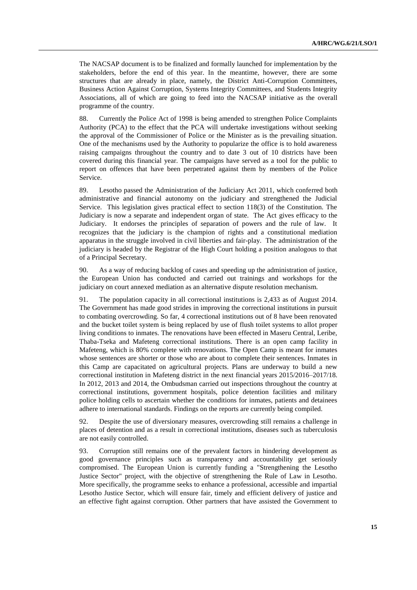The NACSAP document is to be finalized and formally launched for implementation by the stakeholders, before the end of this year. In the meantime, however, there are some structures that are already in place, namely, the District Anti-Corruption Committees, Business Action Against Corruption, Systems Integrity Committees, and Students Integrity Associations, all of which are going to feed into the NACSAP initiative as the overall programme of the country.

88. Currently the Police Act of 1998 is being amended to strengthen Police Complaints Authority (PCA) to the effect that the PCA will undertake investigations without seeking the approval of the Commissioner of Police or the Minister as is the prevailing situation. One of the mechanisms used by the Authority to popularize the office is to hold awareness raising campaigns throughout the country and to date 3 out of 10 districts have been covered during this financial year. The campaigns have served as a tool for the public to report on offences that have been perpetrated against them by members of the Police Service.

89. Lesotho passed the Administration of the Judiciary Act 2011, which conferred both administrative and financial autonomy on the judiciary and strengthened the Judicial Service. This legislation gives practical effect to section 118(3) of the Constitution. The Judiciary is now a separate and independent organ of state. The Act gives efficacy to the Judiciary. It endorses the principles of separation of powers and the rule of law. It recognizes that the judiciary is the champion of rights and a constitutional mediation apparatus in the struggle involved in civil liberties and fair-play. The administration of the judiciary is headed by the Registrar of the High Court holding a position analogous to that of a Principal Secretary.

90. As a way of reducing backlog of cases and speeding up the administration of justice, the European Union has conducted and carried out trainings and workshops for the judiciary on court annexed mediation as an alternative dispute resolution mechanism.

91. The population capacity in all correctional institutions is 2,433 as of August 2014. The Government has made good strides in improving the correctional institutions in pursuit to combating overcrowding. So far, 4 correctional institutions out of 8 have been renovated and the bucket toilet system is being replaced by use of flush toilet systems to allot proper living conditions to inmates. The renovations have been effected in Maseru Central, Leribe, Thaba-Tseka and Mafeteng correctional institutions. There is an open camp facility in Mafeteng, which is 80% complete with renovations. The Open Camp is meant for inmates whose sentences are shorter or those who are about to complete their sentences. Inmates in this Camp are capacitated on agricultural projects. Plans are underway to build a new correctional institution in Mafeteng district in the next financial years 2015/2016–2017/18. In 2012, 2013 and 2014, the Ombudsman carried out inspections throughout the country at correctional institutions, government hospitals, police detention facilities and military police holding cells to ascertain whether the conditions for inmates, patients and detainees adhere to international standards. Findings on the reports are currently being compiled.

92. Despite the use of diversionary measures, overcrowding still remains a challenge in places of detention and as a result in correctional institutions, diseases such as tuberculosis are not easily controlled.

93. Corruption still remains one of the prevalent factors in hindering development as good governance principles such as transparency and accountability get seriously compromised. The European Union is currently funding a "Strengthening the Lesotho Justice Sector" project, with the objective of strengthening the Rule of Law in Lesotho. More specifically, the programme seeks to enhance a professional, accessible and impartial Lesotho Justice Sector, which will ensure fair, timely and efficient delivery of justice and an effective fight against corruption. Other partners that have assisted the Government to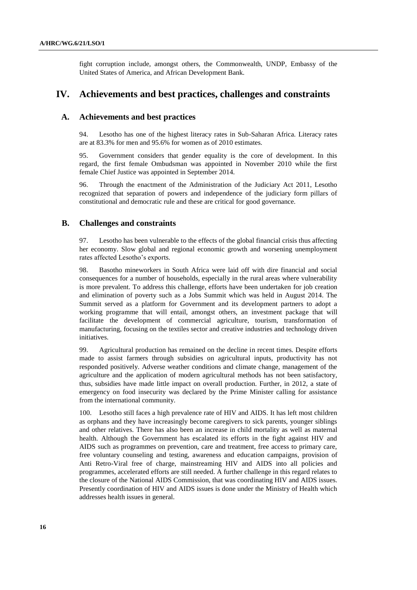fight corruption include, amongst others, the Commonwealth, UNDP, Embassy of the United States of America, and African Development Bank.

### **IV. Achievements and best practices, challenges and constraints**

#### **A. Achievements and best practices**

94. Lesotho has one of the highest literacy rates in Sub-Saharan Africa. Literacy rates are at 83.3% for men and 95.6% for women as of 2010 estimates.

95. Government considers that gender equality is the core of development. In this regard, the first female Ombudsman was appointed in November 2010 while the first female Chief Justice was appointed in September 2014.

96. Through the enactment of the Administration of the Judiciary Act 2011, Lesotho recognized that separation of powers and independence of the judiciary form pillars of constitutional and democratic rule and these are critical for good governance.

#### **B. Challenges and constraints**

97. Lesotho has been vulnerable to the effects of the global financial crisis thus affecting her economy. Slow global and regional economic growth and worsening unemployment rates affected Lesotho's exports.

98. Basotho mineworkers in South Africa were laid off with dire financial and social consequences for a number of households, especially in the rural areas where vulnerability is more prevalent. To address this challenge, efforts have been undertaken for job creation and elimination of poverty such as a Jobs Summit which was held in August 2014. The Summit served as a platform for Government and its development partners to adopt a working programme that will entail, amongst others, an investment package that will facilitate the development of commercial agriculture, tourism, transformation of manufacturing, focusing on the textiles sector and creative industries and technology driven initiatives.

99. Agricultural production has remained on the decline in recent times. Despite efforts made to assist farmers through subsidies on agricultural inputs, productivity has not responded positively. Adverse weather conditions and climate change, management of the agriculture and the application of modern agricultural methods has not been satisfactory, thus, subsidies have made little impact on overall production. Further, in 2012, a state of emergency on food insecurity was declared by the Prime Minister calling for assistance from the international community.

100. Lesotho still faces a high prevalence rate of HIV and AIDS. It has left most children as orphans and they have increasingly become caregivers to sick parents, younger siblings and other relatives. There has also been an increase in child mortality as well as maternal health. Although the Government has escalated its efforts in the fight against HIV and AIDS such as programmes on prevention, care and treatment, free access to primary care, free voluntary counseling and testing, awareness and education campaigns, provision of Anti Retro-Viral free of charge, mainstreaming HIV and AIDS into all policies and programmes, accelerated efforts are still needed. A further challenge in this regard relates to the closure of the National AIDS Commission, that was coordinating HIV and AIDS issues. Presently coordination of HIV and AIDS issues is done under the Ministry of Health which addresses health issues in general.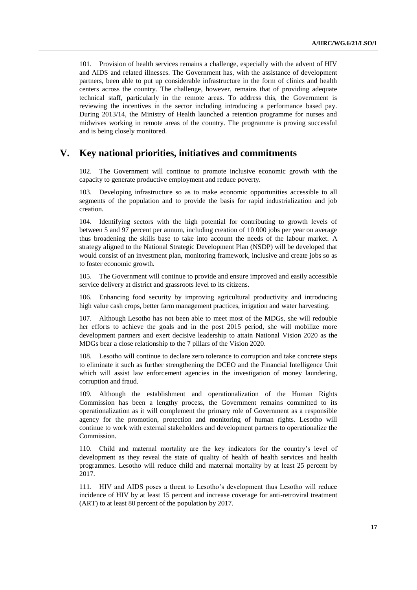101. Provision of health services remains a challenge, especially with the advent of HIV and AIDS and related illnesses. The Government has, with the assistance of development partners, been able to put up considerable infrastructure in the form of clinics and health centers across the country. The challenge, however, remains that of providing adequate technical staff, particularly in the remote areas. To address this, the Government is reviewing the incentives in the sector including introducing a performance based pay. During 2013/14, the Ministry of Health launched a retention programme for nurses and midwives working in remote areas of the country. The programme is proving successful and is being closely monitored.

## **V. Key national priorities, initiatives and commitments**

The Government will continue to promote inclusive economic growth with the capacity to generate productive employment and reduce poverty.

103. Developing infrastructure so as to make economic opportunities accessible to all segments of the population and to provide the basis for rapid industrialization and job creation.

104. Identifying sectors with the high potential for contributing to growth levels of between 5 and 97 percent per annum, including creation of 10 000 jobs per year on average thus broadening the skills base to take into account the needs of the labour market. A strategy aligned to the National Strategic Development Plan (NSDP) will be developed that would consist of an investment plan, monitoring framework, inclusive and create jobs so as to foster economic growth.

105. The Government will continue to provide and ensure improved and easily accessible service delivery at district and grassroots level to its citizens.

106. Enhancing food security by improving agricultural productivity and introducing high value cash crops, better farm management practices, irrigation and water harvesting.

107. Although Lesotho has not been able to meet most of the MDGs, she will redouble her efforts to achieve the goals and in the post 2015 period, she will mobilize more development partners and exert decisive leadership to attain National Vision 2020 as the MDGs bear a close relationship to the 7 pillars of the Vision 2020.

108. Lesotho will continue to declare zero tolerance to corruption and take concrete steps to eliminate it such as further strengthening the DCEO and the Financial Intelligence Unit which will assist law enforcement agencies in the investigation of money laundering, corruption and fraud.

109. Although the establishment and operationalization of the Human Rights Commission has been a lengthy process, the Government remains committed to its operationalization as it will complement the primary role of Government as a responsible agency for the promotion, protection and monitoring of human rights. Lesotho will continue to work with external stakeholders and development partners to operationalize the Commission.

110. Child and maternal mortality are the key indicators for the country's level of development as they reveal the state of quality of health of health services and health programmes. Lesotho will reduce child and maternal mortality by at least 25 percent by 2017.

111. HIV and AIDS poses a threat to Lesotho's development thus Lesotho will reduce incidence of HIV by at least 15 percent and increase coverage for anti-retroviral treatment (ART) to at least 80 percent of the population by 2017.